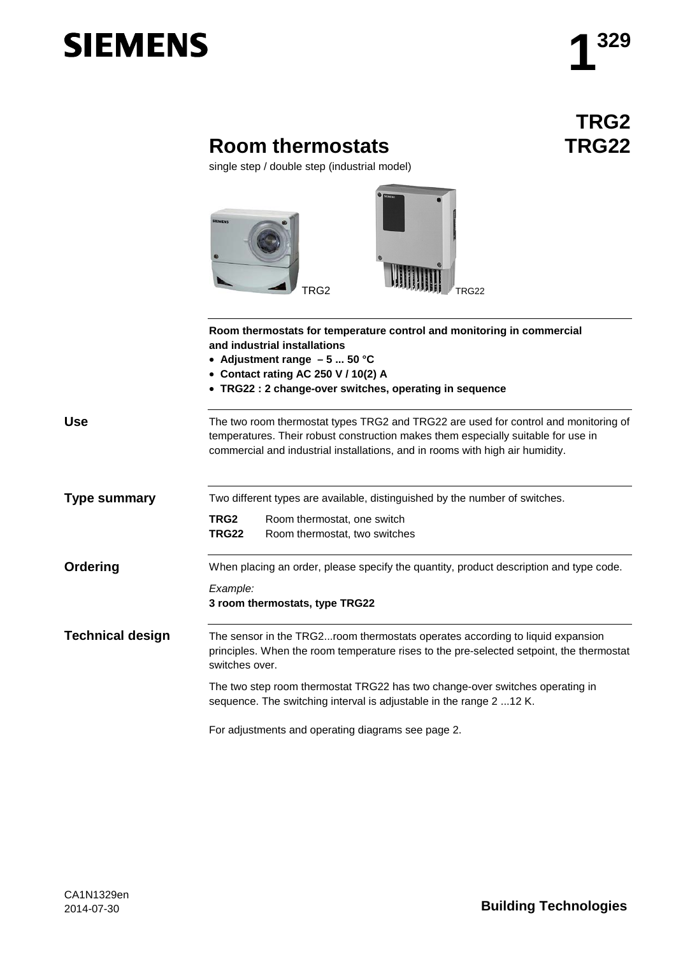# **SIEMENS**

## **TRG2 TRG22**

## **Room thermostats**

single step / double step (industrial model)



|                         | Room thermostats for temperature control and monitoring in commercial<br>and industrial installations<br>• Adjustment range $-5$ 50 °C<br>• Contact rating AC 250 V / 10(2) A<br>• TRG22: 2 change-over switches, operating in sequence                   |
|-------------------------|-----------------------------------------------------------------------------------------------------------------------------------------------------------------------------------------------------------------------------------------------------------|
| <b>Use</b>              | The two room thermostat types TRG2 and TRG22 are used for control and monitoring of<br>temperatures. Their robust construction makes them especially suitable for use in<br>commercial and industrial installations, and in rooms with high air humidity. |
| <b>Type summary</b>     | Two different types are available, distinguished by the number of switches.<br>TRG <sub>2</sub><br>Room thermostat, one switch                                                                                                                            |
|                         | Room thermostat, two switches<br><b>TRG22</b>                                                                                                                                                                                                             |
| Ordering                | When placing an order, please specify the quantity, product description and type code.                                                                                                                                                                    |
|                         | Example:<br>3 room thermostats, type TRG22                                                                                                                                                                                                                |
| <b>Technical design</b> | The sensor in the TRG2room thermostats operates according to liquid expansion<br>principles. When the room temperature rises to the pre-selected setpoint, the thermostat<br>switches over.                                                               |
|                         | The two step room thermostat TRG22 has two change-over switches operating in<br>sequence. The switching interval is adjustable in the range 2 12 K.                                                                                                       |
|                         | For adjustments and operating diagrams see page 2.                                                                                                                                                                                                        |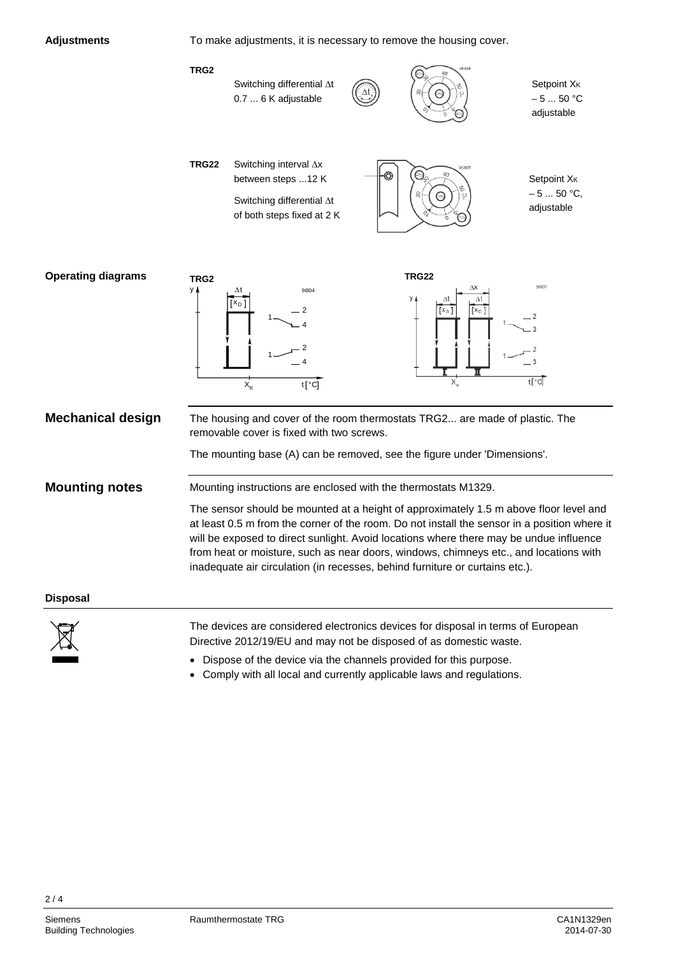

To make adjustments, it is necessary to remove the housing cover.





The devices are considered electronics devices for disposal in terms of European Directive 2012/19/EU and may not be disposed of as domestic waste.

- Dispose of the device via the channels provided for this purpose.
- Comply with all local and currently applicable laws and regulations.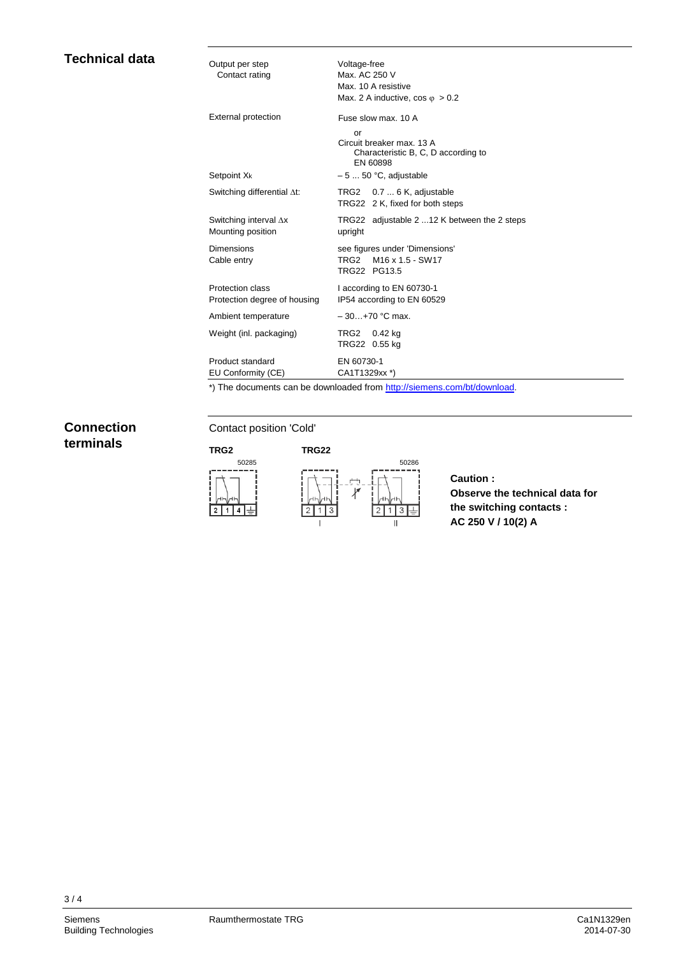| Voltage-free<br>Max. AC 250 V<br>Max. 10 A resistive<br>Max. 2 A inductive, $\cos \varphi > 0.2$                                                                   |
|--------------------------------------------------------------------------------------------------------------------------------------------------------------------|
| Fuse slow max, 10 A<br>or<br>Circuit breaker max. 13 A<br>Characteristic B, C, D according to<br>EN 60898                                                          |
| $-550$ °C, adjustable                                                                                                                                              |
| TRG2 0.7  6 K, adjustable<br>TRG22 2 K, fixed for both steps                                                                                                       |
| TRG22 adjustable 2 12 K between the 2 steps<br>upright                                                                                                             |
| see figures under 'Dimensions'<br>M <sub>16</sub> x <sub>1.5</sub> - SW <sub>17</sub><br>TRG2<br>TRG22 PG13.5                                                      |
| I according to EN 60730-1<br>IP54 according to EN 60529                                                                                                            |
| $-30+70$ °C max.                                                                                                                                                   |
| TRG2 0.42 kg<br>TRG22 0.55 kg                                                                                                                                      |
| EN 60730-1<br>CA1T1329xx *)<br>$\bullet \bullet$ The collection of the contract the collection of the collection of the collection of the following the collection |
|                                                                                                                                                                    |

\*) The documents can be downloaded from [http://siemens.com/bt/download.](http://siemens.com/bt/download)

### **Connection terminals**

**Technical data**

#### Contact position 'Cold'



#### **Caution : Observe the technical data for the switching contacts : AC 250 V / 10(2) A**

3 / 4